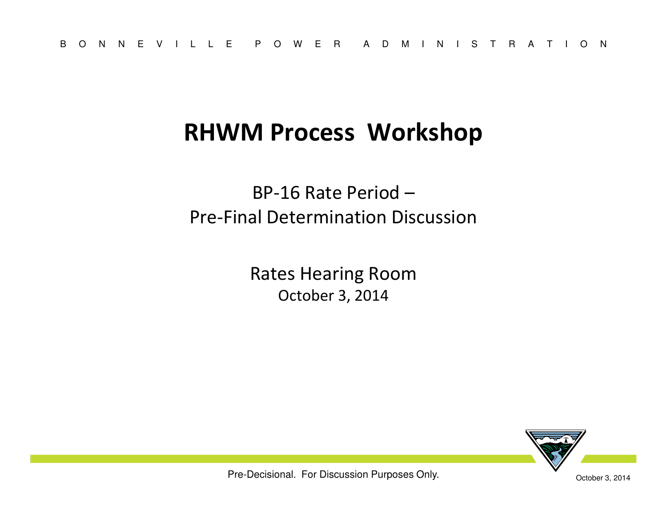# RHWM Process Workshop

BP-16 Rate Period –Pre-Final Determination Discussion

> Rates Hearing RoomOctober 3, 2014



Pre-Decisional. For Discussion Purposes Only.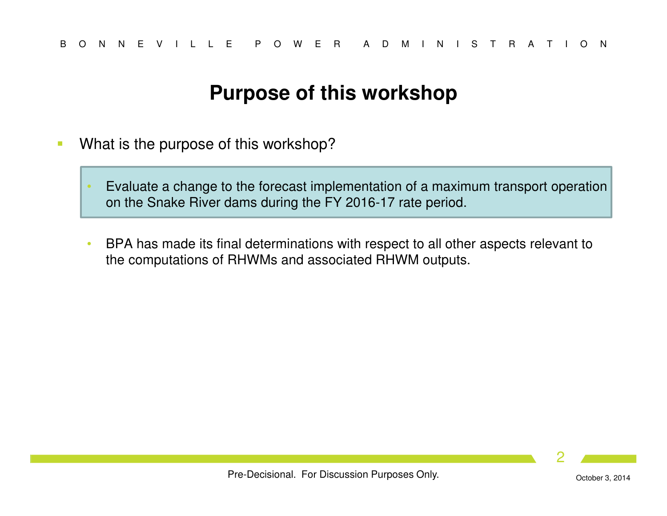### **Purpose of this workshop**

- $\mathcal{L}_{\mathcal{A}}$  What is the purpose of this workshop?
	- $\bullet$  . Evaluate a change to the forecast implementation of a maximum transport operation on the Snake River dams during the FY 2016-17 rate period.
	- • BPA has made its final determinations with respect to all other aspects relevant to the computations of RHWMs and associated RHWM outputs.

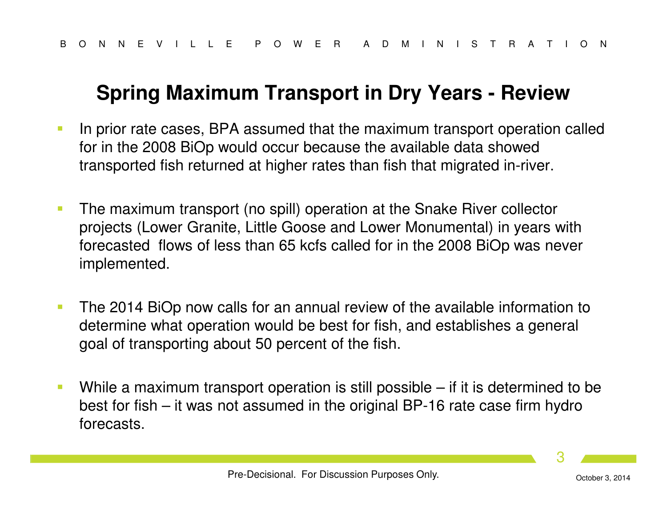### **Spring Maximum Transport in Dry Years - Review**

- $\mathcal{L}_{\mathcal{A}}$  In prior rate cases, BPA assumed that the maximum transport operation called for in the 2008 BiOp would occur because the available data showed transported fish returned at higher rates than fish that migrated in-river.
- $\mathcal{L}_{\mathcal{A}}$  The maximum transport (no spill) operation at the Snake River collector projects (Lower Granite, Little Goose and Lower Monumental) in years with forecasted flows of less than 65 kcfs called for in the 2008 BiOp was never implemented.
- $\mathcal{L}_{\mathcal{A}}$  The 2014 BiOp now calls for an annual review of the available information to determine what operation would be best for fish, and establishes a general goal of transporting about 50 percent of the fish.
- $\mathcal{L}_{\mathcal{A}}$  While a maximum transport operation is still possible – if it is determined to be best for fish – it was not assumed in the original BP-16 rate case firm hydro forecasts.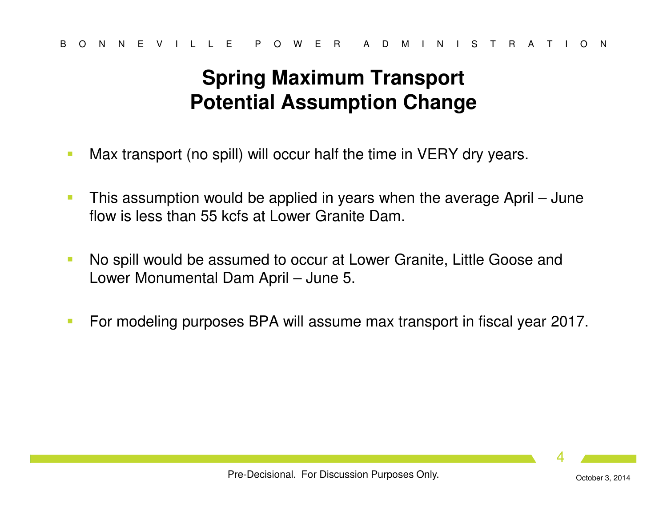# **Spring Maximum Transport Potential Assumption Change**

- $\mathcal{L}_{\mathcal{A}}$ Max transport (no spill) will occur half the time in VERY dry years.
- × This assumption would be applied in years when the average April – June flow is less than 55 kcfs at Lower Granite Dam.
- $\mathcal{L}_{\mathcal{A}}$  No spill would be assumed to occur at Lower Granite, Little Goose and Lower Monumental Dam April – June 5.
- $\mathcal{C}$ For modeling purposes BPA will assume max transport in fiscal year 2017.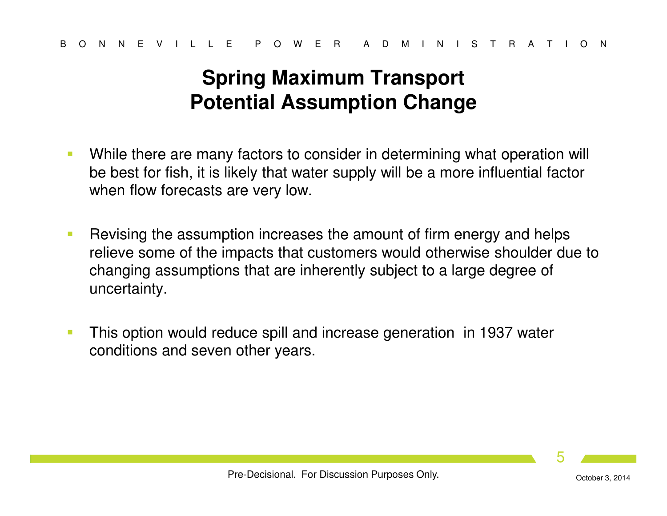## **Spring Maximum Transport Potential Assumption Change**

- $\mathcal{C}^{\mathcal{A}}$  While there are many factors to consider in determining what operation will be best for fish, it is likely that water supply will be a more influential factor when flow forecasts are very low.
- $\mathcal{C}$  Revising the assumption increases the amount of firm energy and helps relieve some of the impacts that customers would otherwise shoulder due to changing assumptions that are inherently subject to a large degree of uncertainty.
- × This option would reduce spill and increase generation in 1937 water conditions and seven other years.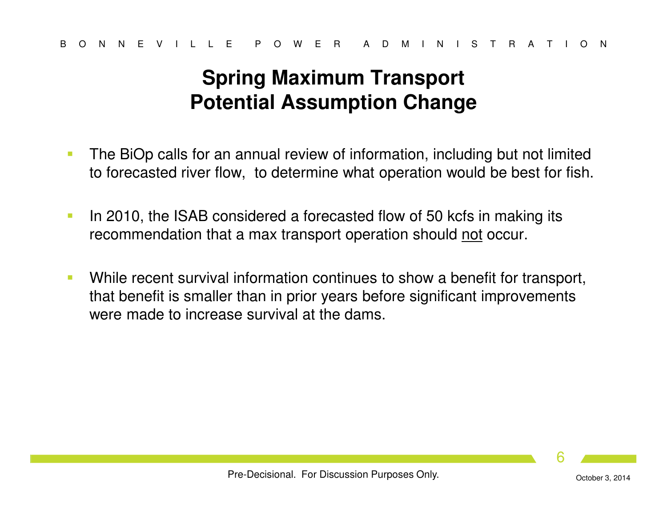# **Spring Maximum Transport Potential Assumption Change**

- $\mathcal{C}^{\mathcal{A}}$  The BiOp calls for an annual review of information, including but not limited to forecasted river flow, to determine what operation would be best for fish.
- $\mathcal{C}^{\mathcal{A}}$  In 2010, the ISAB considered a forecasted flow of 50 kcfs in making its recommendation that a max transport operation should not occur.
- $\mathcal{L}_{\mathcal{A}}$  While recent survival information continues to show a benefit for transport, that benefit is smaller than in prior years before significant improvements were made to increase survival at the dams.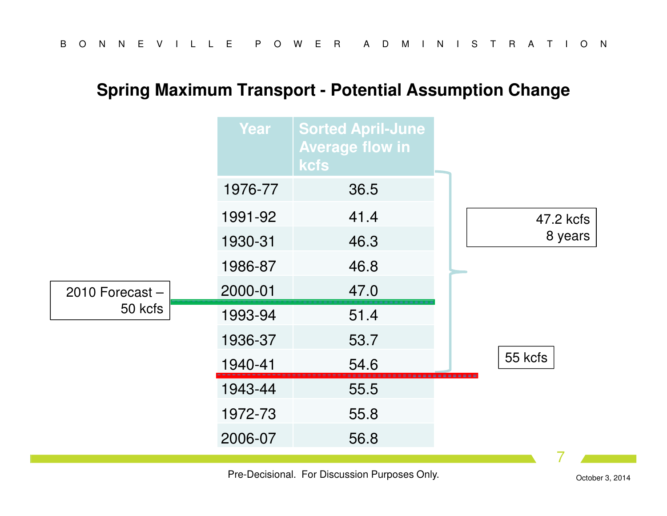#### **Spring Maximum Transport - Potential Assumption Change**

|                                | Year    | <b>Sorted April-June</b><br><b>Average flow in</b><br>kcfs |                                     |
|--------------------------------|---------|------------------------------------------------------------|-------------------------------------|
| $2010$ Forecast $-$<br>50 kcfs | 1976-77 | 36.5                                                       |                                     |
|                                | 1991-92 | 41.4                                                       | 47.2 kcfs<br>8 years<br>55 kcfs<br> |
|                                | 1930-31 | 46.3                                                       |                                     |
|                                | 1986-87 | 46.8                                                       |                                     |
|                                | 2000-01 | 47.0                                                       |                                     |
|                                | 1993-94 | 51.4                                                       |                                     |
|                                | 1936-37 | 53.7                                                       |                                     |
|                                | 1940-41 | 54.6                                                       |                                     |
|                                | 1943-44 | 55.5                                                       |                                     |
|                                | 1972-73 | 55.8                                                       |                                     |
|                                | 2006-07 | 56.8                                                       |                                     |
|                                |         |                                                            |                                     |

Pre-Decisional. For Discussion Purposes Only.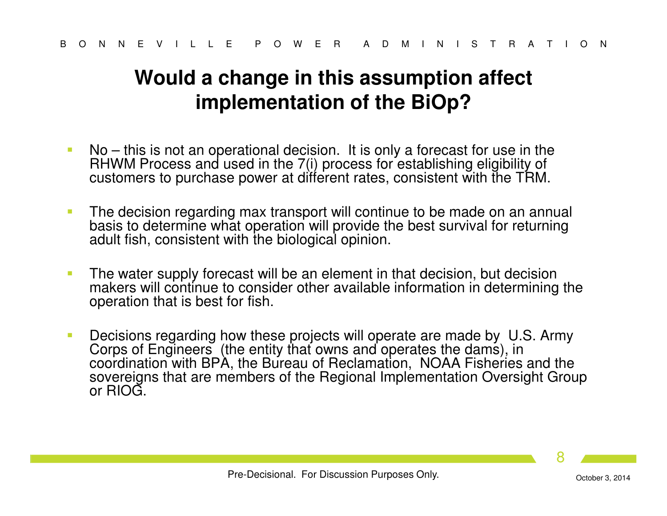# **Would a change in this assumption affect implementation of the BiOp?**

- $\mathbb{R}^2$  No – this is not an operational decision. It is only a forecast for use in the RHWM Process and used in the 7(i) process for establishing eligibility of customers to purchase power at different rates, consistent with the TRM.
- $\mathcal{L}_{\mathcal{A}}$  The decision regarding max transport will continue to be made on an annual basis to determine what operation will provide the best survival for returning adult fish, consistent with the biological opinion.
- $\mathcal{A}$  The water supply forecast will be an element in that decision, but decision makers will continue to consider other available information in determining the operation that is best for fish.
- $\overline{\phantom{a}}$ Decisions regarding how these projects will operate are made by U.S. Army Corps of Engineers (the entity that owns and operates the dams), in coordination with BPA, the Bureau of Reclamation, NOAA Fisheries and the sovereigns that are members of the Regional Implementation Oversight Group<br>or RIOG.

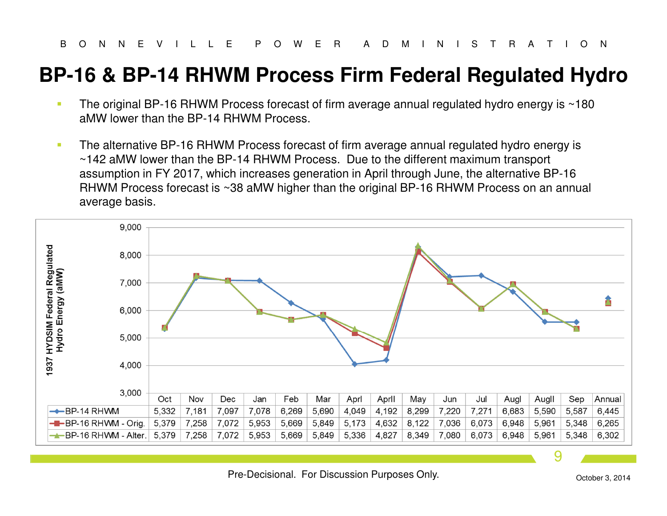# **BP-16 & BP-14 RHWM Process Firm Federal Regulated Hydro**

- $\overline{\phantom{a}}$  The original BP-16 RHWM Process forecast of firm average annual regulated hydro energy is ~180 aMW lower than the BP-14 RHWM Process.
- $\mathbf{r}$  The alternative BP-16 RHWM Process forecast of firm average annual regulated hydro energy is ~142 aMW lower than the BP-14 RHWM Process. Due to the different maximum transport assumption in FY 2017, which increases generation in April through June, the alternative BP-16 RHWM Process forecast is ~38 aMW higher than the original BP-16 RHWM Process on an annual average basis.



Pre-Decisional. For Discussion Purposes Only.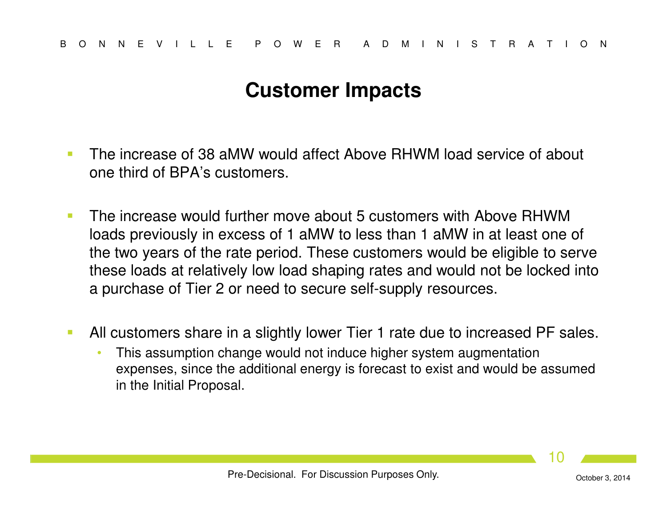### **Customer Impacts**

- $\mathcal{L}_{\mathcal{A}}$  The increase of 38 aMW would affect Above RHWM load service of about one third of BPA's customers.
- $\mathcal{L}_{\mathcal{A}}$  The increase would further move about 5 customers with Above RHWM loads previously in excess of 1 aMW to less than 1 aMW in at least one of the two years of the rate period. These customers would be eligible to serve these loads at relatively low load shaping rates and would not be locked into a purchase of Tier 2 or need to secure self-supply resources.
- $\mathcal{L}_{\mathcal{A}}$  All customers share in a slightly lower Tier 1 rate due to increased PF sales.
	- This assumption change would not induce higher system augmentation expenses, since the additional energy is forecast to exist and would be assumed in the Initial Proposal.